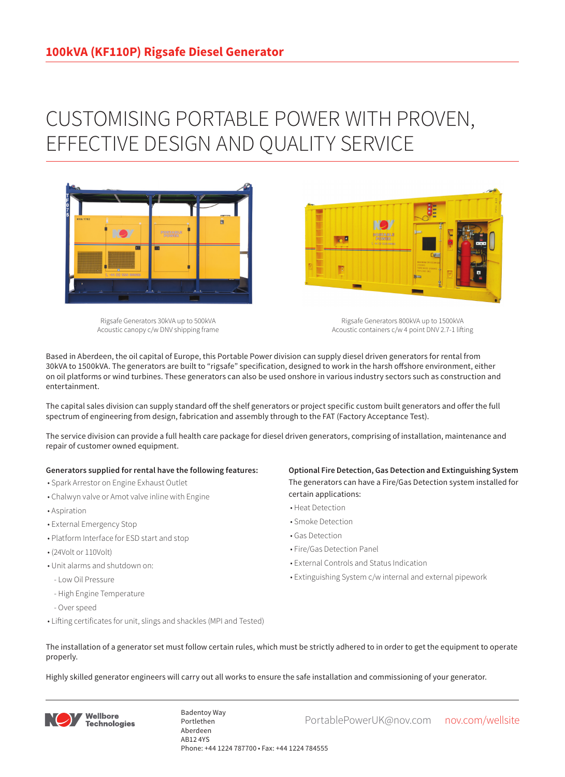## CUSTOMISING PORTABLE POWER WITH PROVEN, EFFECTIVE DESIGN AND QUALITY SERVICE



Rigsafe Generators 30kVA up to 500kVA Acoustic canopy c/w DNV shipping frame

Rigsafe Generators 800kVA up to 1500kVA Acoustic containers c/w 4 point DNV 2.7-1 lifting

Based in Aberdeen, the oil capital of Europe, this Portable Power division can supply diesel driven generators for rental from 30kVA to 1500kVA. The generators are built to "rigsafe" specification, designed to work in the harsh offshore environment, either on oil platforms or wind turbines. These generators can also be used onshore in various industry sectors such as construction and entertainment.

The capital sales division can supply standard off the shelf generators or project specific custom built generators and offer the full spectrum of engineering from design, fabrication and assembly through to the FAT (Factory Acceptance Test).

The service division can provide a full health care package for diesel driven generators, comprising of installation, maintenance and repair of customer owned equipment.

## **Generators supplied for rental have the following features:**

- Spark Arrestor on Engine Exhaust Outlet
- Chalwyn valve or Amot valve inline with Engine
- Aspiration
- External Emergency Stop
- Platform Interface for ESD start and stop
- (24Volt or 110Volt)
- Unit alarms and shutdown on:
- Low Oil Pressure
- High Engine Temperature
- Over speed
- Lifting certificates for unit, slings and shackles (MPI and Tested)

**Optional Fire Detection, Gas Detection and Extinguishing System** The generators can have a Fire/Gas Detection system installed for certain applications:

- Heat Detection
- Smoke Detection
- Gas Detection
- Fire/Gas Detection Panel

**Designation** 

- External Controls and Status Indication
- Extinguishing System c/w internal and external pipework
- The installation of a generator set must follow certain rules, which must be strictly adhered to in order to get the equipment to operate properly.

Highly skilled generator engineers will carry out all works to ensure the safe installation and commissioning of your generator.



Badentoy Way<br>PortablePowerUK@nov.com nov.com/wellsite Portlethen Aberdeen AB12 4YS Phone: +44 1224 787700 • Fax: +44 1224 784555